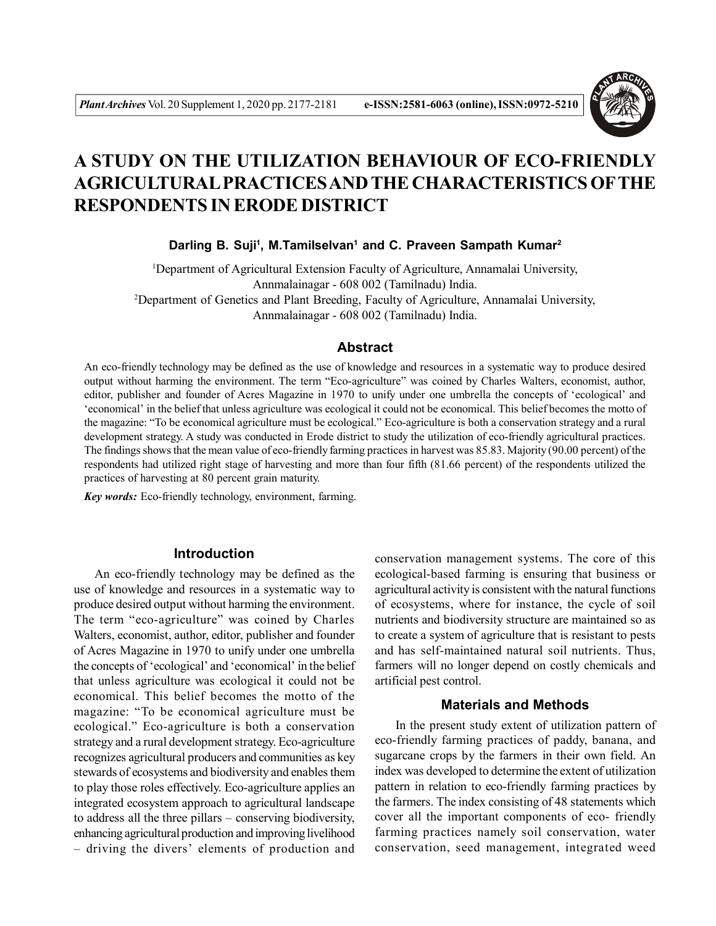

# **A STUDY ON THE UTILIZATION BEHAVIOUR OF ECO-FRIENDLY AGRICULTURAL PRACTICES AND THE CHARACTERISTICS OFTHE RESPONDENTS IN ERODE DISTRICT**

**Darling B. Suji<sup>1</sup> , M.Tamilselvan<sup>1</sup> and C. Praveen Sampath Kumar<sup>2</sup>**

<sup>1</sup>Department of Agricultural Extension Faculty of Agriculture, Annamalai University, Annmalainagar - 608 002 (Tamilnadu) India. <sup>2</sup>Department of Genetics and Plant Breeding, Faculty of Agriculture, Annamalai University, Annmalainagar - 608 002 (Tamilnadu) India.

### **Abstract**

An eco-friendly technology may be defined as the use of knowledge and resources in a systematic way to produce desired output without harming the environment. The term "Eco-agriculture" was coined by Charles Walters, economist, author, editor, publisher and founder of Acres Magazine in 1970 to unify under one umbrella the concepts of 'ecological' and 'economical' in the belief that unless agriculture was ecological it could not be economical. This belief becomes the motto of the magazine: "To be economical agriculture must be ecological." Eco-agriculture is both a conservation strategy and a rural development strategy. A study was conducted in Erode district to study the utilization of eco-friendly agricultural practices. The findings shows that the mean value of eco-friendly farming practices in harvest was 85.83. Majority (90.00 percent) of the respondents had utilized right stage of harvesting and more than four fifth (81.66 percent) of the respondents utilized the practices of harvesting at 80 percent grain maturity.

*Key words:* Eco-friendly technology, environment, farming.

# **Introduction**

An eco-friendly technology may be defined as the use of knowledge and resources in a systematic way to produce desired output without harming the environment. The term "eco-agriculture" was coined by Charles Walters, economist, author, editor, publisher and founder of Acres Magazine in 1970 to unify under one umbrella the concepts of 'ecological' and 'economical' in the belief that unless agriculture was ecological it could not be economical. This belief becomes the motto of the magazine: "To be economical agriculture must be ecological." Eco-agriculture is both a conservation strategy and a rural development strategy. Eco-agriculture recognizes agricultural producers and communities as key stewards of ecosystems and biodiversity and enables them to play those roles effectively. Eco-agriculture applies an integrated ecosystem approach to agricultural landscape to address all the three pillars – conserving biodiversity, enhancing agricultural production and improving livelihood – driving the divers' elements of production and

conservation management systems. The core of this ecological-based farming is ensuring that business or agricultural activity is consistent with the natural functions of ecosystems, where for instance, the cycle of soil nutrients and biodiversity structure are maintained so as to create a system of agriculture that is resistant to pests and has self-maintained natural soil nutrients. Thus, farmers will no longer depend on costly chemicals and artificial pest control.

## **Materials and Methods**

In the present study extent of utilization pattern of eco-friendly farming practices of paddy, banana, and sugarcane crops by the farmers in their own field. An index was developed to determine the extent of utilization pattern in relation to eco-friendly farming practices by the farmers. The index consisting of 48 statements which cover all the important components of eco- friendly farming practices namely soil conservation, water conservation, seed management, integrated weed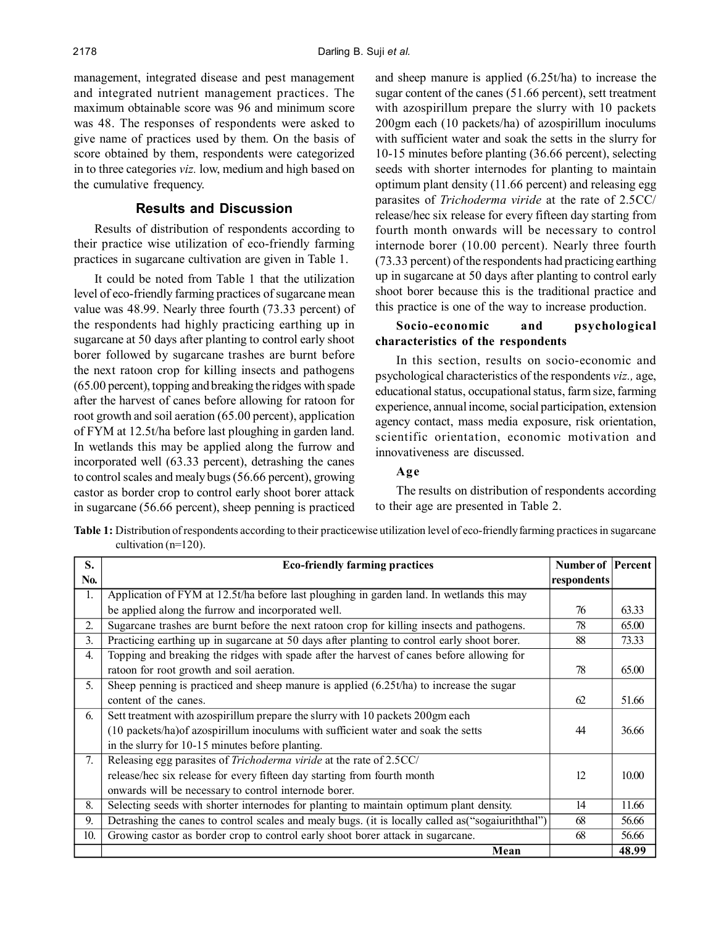management, integrated disease and pest management and integrated nutrient management practices. The maximum obtainable score was 96 and minimum score was 48. The responses of respondents were asked to give name of practices used by them. On the basis of score obtained by them, respondents were categorized in to three categories *viz.* low, medium and high based on the cumulative frequency.

# **Results and Discussion**

Results of distribution of respondents according to their practice wise utilization of eco-friendly farming practices in sugarcane cultivation are given in Table 1.

It could be noted from Table 1 that the utilization level of eco-friendly farming practices of sugarcane mean value was 48.99. Nearly three fourth (73.33 percent) of the respondents had highly practicing earthing up in sugarcane at 50 days after planting to control early shoot borer followed by sugarcane trashes are burnt before the next ratoon crop for killing insects and pathogens (65.00 percent), topping and breaking the ridges with spade after the harvest of canes before allowing for ratoon for root growth and soil aeration (65.00 percent), application of FYM at 12.5t/ha before last ploughing in garden land. In wetlands this may be applied along the furrow and incorporated well (63.33 percent), detrashing the canes to control scales and mealy bugs (56.66 percent), growing castor as border crop to control early shoot borer attack in sugarcane (56.66 percent), sheep penning is practiced

and sheep manure is applied (6.25t/ha) to increase the sugar content of the canes (51.66 percent), sett treatment with azospirillum prepare the slurry with 10 packets 200gm each (10 packets/ha) of azospirillum inoculums with sufficient water and soak the setts in the slurry for 10-15 minutes before planting (36.66 percent), selecting seeds with shorter internodes for planting to maintain optimum plant density (11.66 percent) and releasing egg parasites of *Trichoderma viride* at the rate of 2.5CC/ release/hec six release for every fifteen day starting from fourth month onwards will be necessary to control internode borer (10.00 percent). Nearly three fourth (73.33 percent) of the respondents had practicing earthing up in sugarcane at 50 days after planting to control early shoot borer because this is the traditional practice and this practice is one of the way to increase production.

## **Socio-economic and psychological characteristics of the respondents**

In this section, results on socio-economic and psychological characteristics of the respondents *viz.,* age, educational status, occupational status, farm size, farming experience, annual income, social participation, extension agency contact, mass media exposure, risk orientation, scientific orientation, economic motivation and innovativeness are discussed.

## **Age**

The results on distribution of respondents according to their age are presented in Table 2.

**Table 1:** Distribution of respondents according to their practicewise utilization level of eco-friendly farming practices in sugarcane cultivation (n=120).

| S.  | <b>Eco-friendly farming practices</b>                                                             | <b>Number of Percent</b> |       |
|-----|---------------------------------------------------------------------------------------------------|--------------------------|-------|
| No. |                                                                                                   | respondents              |       |
| 1.  | Application of FYM at 12.5t/ha before last ploughing in garden land. In wetlands this may         |                          |       |
|     | be applied along the furrow and incorporated well.                                                | 76                       | 63.33 |
| 2.  | Sugarcane trashes are burnt before the next ration crop for killing insects and pathogens.        | 78                       | 65.00 |
| 3.  | Practicing earthing up in sugarcane at 50 days after planting to control early shoot borer.       | 88                       | 73.33 |
| 4.  | Topping and breaking the ridges with spade after the harvest of canes before allowing for         |                          |       |
|     | ratoon for root growth and soil aeration.                                                         | 78                       | 65.00 |
| 5.  | Sheep penning is practiced and sheep manure is applied $(6.25t/ha)$ to increase the sugar         |                          |       |
|     | content of the canes.                                                                             | 62                       | 51.66 |
| 6.  | Sett treatment with azospirillum prepare the slurry with 10 packets 200gm each                    |                          |       |
|     | (10 packets/ha) of azospirillum inoculums with sufficient water and soak the setts                | 44                       | 36.66 |
|     | in the slurry for 10-15 minutes before planting.                                                  |                          |       |
| 7.  | Releasing egg parasites of <i>Trichoderma viride</i> at the rate of 2.5CC/                        |                          |       |
|     | release/hec six release for every fifteen day starting from fourth month                          | 12                       | 10.00 |
|     | onwards will be necessary to control internode borer.                                             |                          |       |
| 8.  | Selecting seeds with shorter internodes for planting to maintain optimum plant density.           | 14                       | 11.66 |
| 9.  | Detrashing the canes to control scales and mealy bugs. (it is locally called as "sogaiuriththal") | 68                       | 56.66 |
| 10. | Growing castor as border crop to control early shoot borer attack in sugarcane.                   | 68                       | 56.66 |
|     | Mean                                                                                              |                          | 48.99 |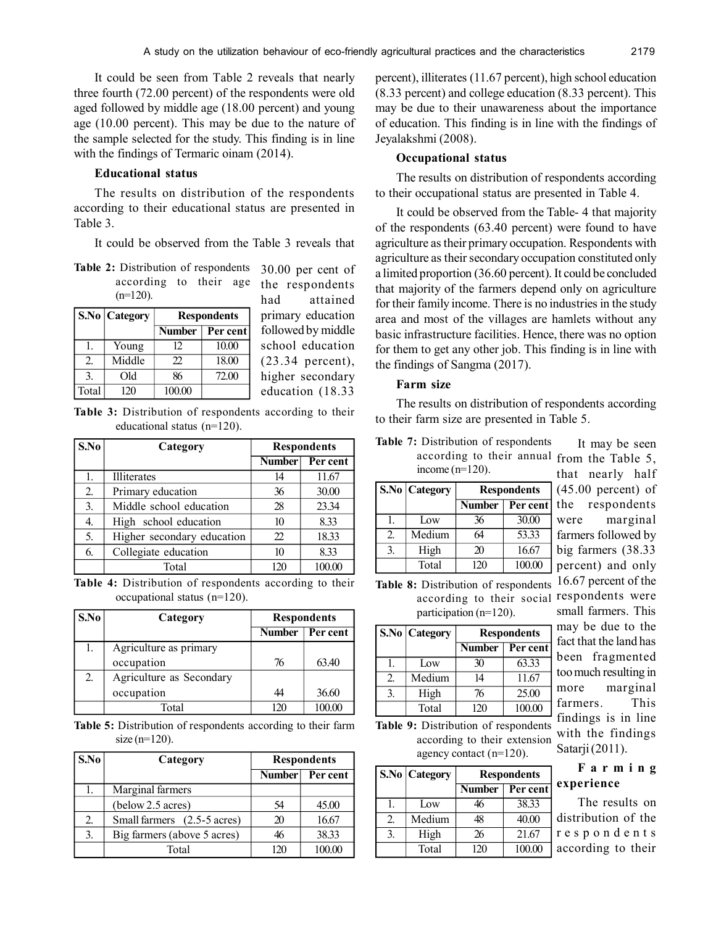It could be seen from Table 2 reveals that nearly three fourth (72.00 percent) of the respondents were old aged followed by middle age (18.00 percent) and young age (10.00 percent). This may be due to the nature of the sample selected for the study. This finding is in line with the findings of Termaric oinam (2014).

### **Educational status**

The results on distribution of the respondents according to their educational status are presented in Table 3.

It could be observed from the Table 3 reveals that

| Table 2: Distribution of respondents 30.00 per |                                  |  |  |  |       |
|------------------------------------------------|----------------------------------|--|--|--|-------|
|                                                | according to their age the respo |  |  |  |       |
|                                                | $(n=120)$ .                      |  |  |  | had s |

|       | <b>S.No   Category</b> | <b>Respondents</b> |          |  |
|-------|------------------------|--------------------|----------|--|
|       |                        | <b>Number</b>      | Per cent |  |
|       | Young                  | 12                 | 10.00    |  |
| 2.    | Middle                 | 22                 | 18.00    |  |
| 3.    | Old                    | 86                 | 72.00    |  |
| Total | 120                    | 100.00             |          |  |

cent of ondents had attained primary education followed by middle school education (23.34 percent), higher secondary education (18.33

Table 3: Distribution of respondents according to their<br>to their farm size are presented in Table 5. educational status (n=120).

| S.No | Category                   | <b>Respondents</b> |          |
|------|----------------------------|--------------------|----------|
|      |                            | <b>Number</b>      | Per cent |
| 1.   | Illiterates                | 14                 | 11.67    |
| 2.   | Primary education          | 36                 | 30.00    |
| 3.   | Middle school education    | 28                 | 23.34    |
| 4.   | High school education      | 10                 | 8.33     |
| 5.   | Higher secondary education | 22                 | 18.33    |
| 6.   | Collegiate education       | 10                 | 8.33     |
|      | Total                      | 120                | 100.00   |

**Table 4:** Distribution of respondents according to their occupational status (n=120).

| S.No | Category                 | <b>Respondents</b> |          |
|------|--------------------------|--------------------|----------|
|      |                          | <b>Number</b>      | Per cent |
| 1.   | Agriculture as primary   |                    |          |
|      | occupation               | 76                 | 63.40    |
| 2.   | Agriculture as Secondary |                    |          |
|      | occupation               | 44                 | 36.60    |
|      | Total                    | 170                | 100.00   |

**Table 5:** Distribution of respondents according to their farm size  $(n=120)$ .

| S.No | Category                    | <b>Respondents</b> |          |
|------|-----------------------------|--------------------|----------|
|      |                             | Number             | Per cent |
|      | Marginal farmers            |                    |          |
|      | (below 2.5 acres)           | 54                 | 45.00    |
| 2.   | Small farmers (2.5-5 acres) | 20                 | 16.67    |
| 3.   | Big farmers (above 5 acres) | 46                 | 38.33    |
|      | Total                       | 170                |          |

percent), illiterates (11.67 percent), high school education (8.33 percent) and college education (8.33 percent). This may be due to their unawareness about the importance of education. This finding is in line with the findings of Jeyalakshmi (2008).

### **Occupational status**

The results on distribution of respondents according to their occupational status are presented in Table 4.

It could be observed from the Table- 4 that majority of the respondents (63.40 percent) were found to have agriculture as their primary occupation. Respondents with agriculture as their secondary occupation constituted only a limited proportion (36.60 percent). It could be concluded that majority of the farmers depend only on agriculture for their family income. There is no industries in the study area and most of the villages are hamlets without any basic infrastructure facilities. Hence, there was no option for them to get any other job. This finding is in line with the findings of Sangma (2017).

### **Farm size**

The results on distribution of respondents according

| according to their annual f<br>income $(n=120)$ . |                 |                           |        |  |  |
|---------------------------------------------------|-----------------|---------------------------|--------|--|--|
|                                                   | S.No   Category | <b>Respondents</b>        |        |  |  |
|                                                   |                 | Per cent<br><b>Number</b> |        |  |  |
| 1.                                                | Low             | 36                        | 30.00  |  |  |
| 2.                                                | Medium          | 64                        | 53.33  |  |  |
| 3.                                                | High            | 20                        | 16.67  |  |  |
|                                                   | Total           | 120                       | 100.00 |  |  |

**Table 7:** Distribution of respondents

**Table 8:** Distribution of respondents according to their social respondents were participation (n=120).

|    | S.No   Category | <b>Respondents</b> |          |  |
|----|-----------------|--------------------|----------|--|
|    |                 | <b>Number</b>      | Per cent |  |
|    | Low             | 30                 | 63.33    |  |
| 2. | Medium          | 14                 | 11.67    |  |
| 3. | High            | 76                 | 25.00    |  |
|    | Total           | 120                | 100.00   |  |

**Table 9:** Distribution of respondents according to their extension agency contact (n=120).

|    | S.No Category | <b>Respondents</b> |          |   |
|----|---------------|--------------------|----------|---|
|    |               | Number             | Per cent | e |
|    | Low           | 16                 | 38.33    |   |
| 2. | Medium        | 48                 | 40.00    | Ć |
| 3. | High          | 26                 | 21.67    | r |
|    | Total         | 120                | 100.00   | a |

from the Table 5, hat nearly half (45.00 percent) of the respondents were marginal farmers followed by big farmers (38.33 percent) and only 16.67 percent of the small farmers. This may be due to the fact that the land has been fragmented too much resulting in more marginal farmers. This findings is in line with the findings Satarji (2011).

It may be seen

# **F a r m i n g experience**

The results on distribution of the e s p o n d e n t s according to their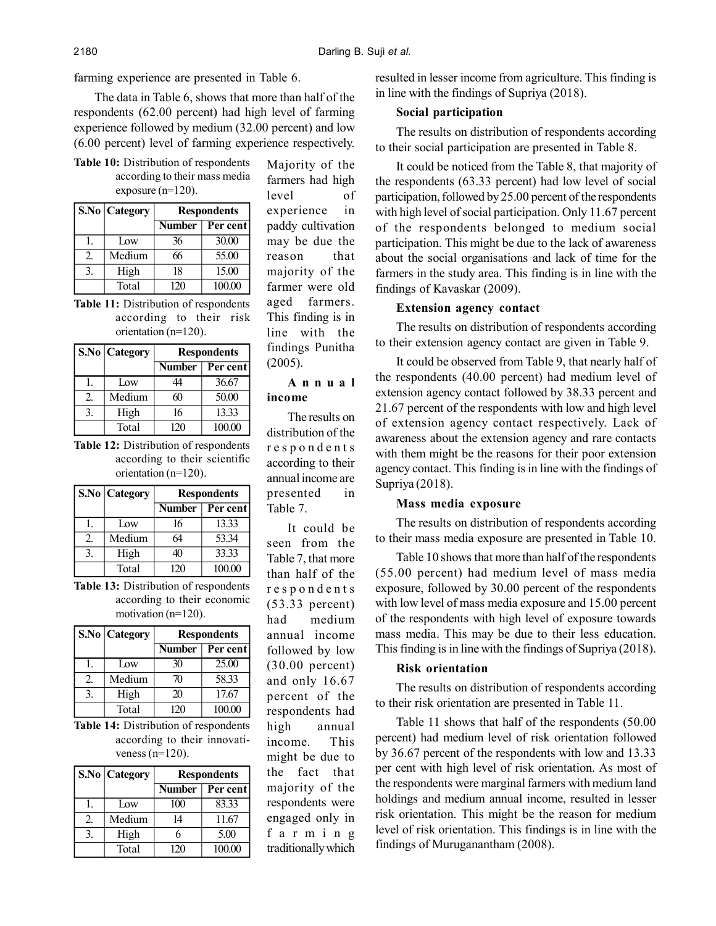farming experience are presented in Table 6.

The data in Table 6, shows that more than half of the respondents (62.00 percent) had high level of farming experience followed by medium (32.00 percent) and low (6.00 percent) level of farming experience respectively.

**Table 10:** Distribution of respondents according to their mass media exposure (n=120).

|    | S.No   Category | <b>Respondents</b> |          |  |
|----|-----------------|--------------------|----------|--|
|    |                 | Number             | Per cent |  |
|    | Low             | 36                 | 30.00    |  |
| 2. | Medium          | 66                 | 55.00    |  |
| 3. | High            | 18                 | 15.00    |  |
|    | Total           | 120                | 100.00   |  |

**Table 11:** Distribution of respondents according to their risk orientation (n=120).

|    | <b>S.No   Category</b> | <b>Respondents</b> |          |  |
|----|------------------------|--------------------|----------|--|
|    |                        | <b>Number</b>      | Per cent |  |
|    | Low                    | 44                 | 36.67    |  |
| 2. | Medium                 | 60                 | 50.00    |  |
| 3. | High                   | 16                 | 13.33    |  |
|    | Total                  | 120                | 100.00   |  |

**Table 12:** Distribution of respondents according to their scientific orientation (n=120).

|                  | S.No   Category | <b>Respondents</b> |          |  |
|------------------|-----------------|--------------------|----------|--|
|                  |                 | <b>Number</b>      | Per cent |  |
| l.               | Low             | 16                 | 13.33    |  |
| $\overline{2}$ . | Medium          | 64                 | 53.34    |  |
| 3.               | High            | 40                 | 33.33    |  |
|                  | Total           | 120                | 100.00   |  |

**Table 13:** Distribution of respondents according to their economic motivation (n=120).

|    | S.No Category | <b>Respondents</b> |          |
|----|---------------|--------------------|----------|
|    |               | Number             | Per cent |
|    | Low           | 30                 | 25.00    |
| 2. | Medium        | 70                 | 58.33    |
| 3. | High          | 20                 | 17.67    |
|    | Total         | 120                | 100.00   |

**Table 14:** Distribution of respondents according to their innovativeness  $(n=120)$ .

|    | S.No   Category | <b>Respondents</b> |          |
|----|-----------------|--------------------|----------|
|    |                 | <b>Number</b>      | Per cent |
|    | Low             | 100                | 83.33    |
| 2. | Medium          | 14                 | 11.67    |
| 3. | High            | 6                  | 5.00     |
|    | Total           | 120                | 100.00   |

Majority of the farmers had high level of experience in paddy cultivation may be due the reason that majority of the farmer were old aged farmers. This finding is in line with the findings Punitha (2005).

**A n n u a l income**

The results on distribution of the r e s p o n d e n t s according to their annual income are presented in Table 7.

It could be seen from the Table 7, that more than half of the r e s p o n d e n t s (53.33 percent) had medium annual income followed by low (30.00 percent) and only 16.67 percent of the respondents had high annual income. This might be due to the fact that majority of the respondents were engaged only in f a r m i n g traditionally which resulted in lesser income from agriculture. This finding is in line with the findings of Supriya (2018).

# **Social participation**

The results on distribution of respondents according to their social participation are presented in Table 8.

It could be noticed from the Table 8, that majority of the respondents (63.33 percent) had low level of social participation, followed by 25.00 percent of the respondents with high level of social participation. Only 11.67 percent of the respondents belonged to medium social participation. This might be due to the lack of awareness about the social organisations and lack of time for the farmers in the study area. This finding is in line with the findings of Kavaskar (2009).

# **Extension agency contact**

The results on distribution of respondents according to their extension agency contact are given in Table 9.

It could be observed from Table 9, that nearly half of the respondents (40.00 percent) had medium level of extension agency contact followed by 38.33 percent and 21.67 percent of the respondents with low and high level of extension agency contact respectively. Lack of awareness about the extension agency and rare contacts with them might be the reasons for their poor extension agency contact. This finding is in line with the findings of Supriya (2018).

## **Mass media exposure**

The results on distribution of respondents according to their mass media exposure are presented in Table 10.

Table 10 shows that more than half of the respondents (55.00 percent) had medium level of mass media exposure, followed by 30.00 percent of the respondents with low level of mass media exposure and 15.00 percent of the respondents with high level of exposure towards mass media. This may be due to their less education. This finding is in line with the findings of Supriya (2018).

### **Risk orientation**

The results on distribution of respondents according to their risk orientation are presented in Table 11.

Table 11 shows that half of the respondents (50.00 percent) had medium level of risk orientation followed by 36.67 percent of the respondents with low and 13.33 per cent with high level of risk orientation. As most of the respondents were marginal farmers with medium land holdings and medium annual income, resulted in lesser risk orientation. This might be the reason for medium level of risk orientation. This findings is in line with the findings of Muruganantham (2008).